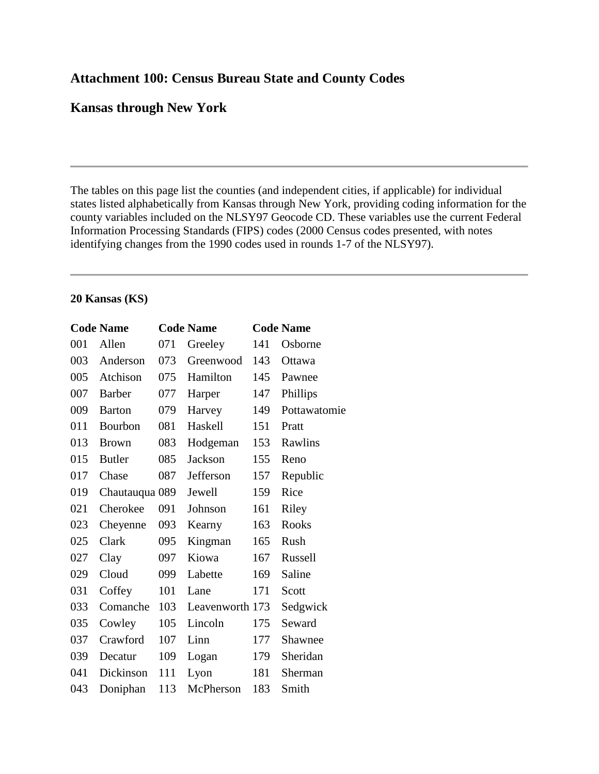## **Attachment 100: Census Bureau State and County Codes**

### **Kansas through New York**

The tables on this page list the counties (and independent cities, if applicable) for individual states listed alphabetically from Kansas through New York, providing coding information for the county variables included on the NLSY97 Geocode CD. These variables use the current Federal Information Processing Standards (FIPS) codes (2000 Census codes presented, with notes identifying changes from the 1990 codes used in rounds 1-7 of the NLSY97).

#### **20 Kansas (KS)**

|     | <b>Code Name</b> |     | <b>Code Name</b> |     | <b>Code Name</b> |
|-----|------------------|-----|------------------|-----|------------------|
| 001 | Allen            | 071 | Greeley          | 141 | Osborne          |
| 003 | Anderson         | 073 | Greenwood        | 143 | Ottawa           |
| 005 | Atchison         | 075 | Hamilton         | 145 | Pawnee           |
| 007 | <b>Barber</b>    | 077 | Harper           | 147 | Phillips         |
| 009 | <b>Barton</b>    | 079 | Harvey           | 149 | Pottawatomie     |
| 011 | Bourbon          | 081 | Haskell          | 151 | Pratt            |
| 013 | <b>Brown</b>     | 083 | Hodgeman         | 153 | Rawlins          |
| 015 | <b>Butler</b>    | 085 | Jackson          | 155 | Reno             |
| 017 | Chase            | 087 | Jefferson        | 157 | Republic         |
| 019 | Chautauqua 089   |     | Jewell           | 159 | Rice             |
| 021 | Cherokee         | 091 | Johnson          | 161 | Riley            |
| 023 | Cheyenne         | 093 | Kearny           | 163 | <b>Rooks</b>     |
| 025 | Clark            | 095 | Kingman          | 165 | Rush             |
| 027 | Clay             | 097 | Kiowa            | 167 | Russell          |
| 029 | Cloud            | 099 | Labette          | 169 | Saline           |
| 031 | Coffey           | 101 | Lane             | 171 | Scott            |
| 033 | Comanche         | 103 | Leavenworth 173  |     | Sedgwick         |
| 035 | Cowley           | 105 | Lincoln          | 175 | Seward           |
| 037 | Crawford         | 107 | Linn             | 177 | Shawnee          |
| 039 | Decatur          | 109 | Logan            | 179 | Sheridan         |
| 041 | Dickinson        | 111 | Lyon             | 181 | Sherman          |
| 043 | Doniphan         | 113 | McPherson        | 183 | Smith            |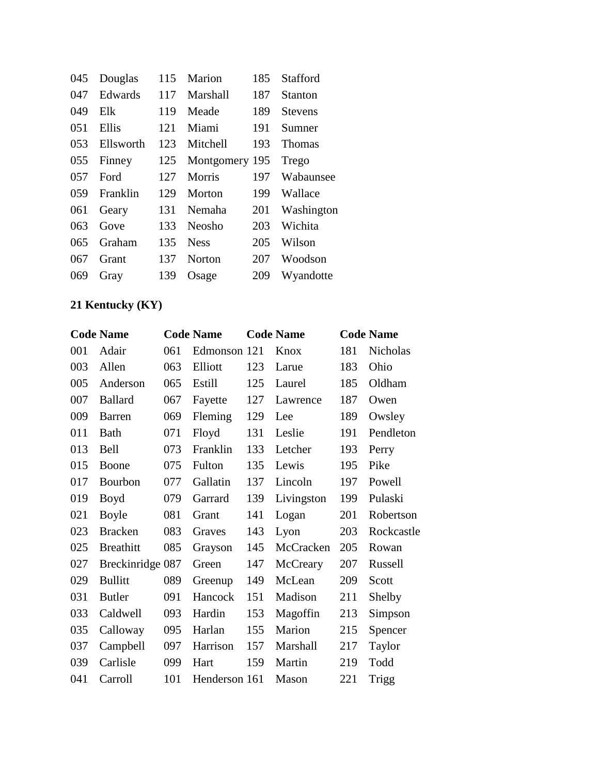| 045 | Douglas   | 115 | Marion        | 185 | <b>Stafford</b> |
|-----|-----------|-----|---------------|-----|-----------------|
| 047 | Edwards   | 117 | Marshall      | 187 | Stanton         |
| 049 | Elk       | 119 | Meade         | 189 | <b>Stevens</b>  |
| 051 | Ellis     | 121 | Miami         | 191 | Sumner          |
| 053 | Ellsworth | 123 | Mitchell      | 193 | <b>Thomas</b>   |
| 055 | Finney    | 125 | Montgomery    | 195 | Trego           |
| 057 | Ford      | 127 | Morris        | 197 | Wabaunsee       |
| 059 | Franklin  | 129 | Morton        | 199 | Wallace         |
| 061 | Geary     | 131 | Nemaha        | 201 | Washington      |
| 063 | Gove      | 133 | Neosho        | 203 | Wichita         |
| 065 | Graham    | 135 | <b>Ness</b>   | 205 | Wilson          |
| 067 | Grant     | 137 | <b>Norton</b> | 207 | Woodson         |
| 069 | Gray      | 139 | Osage         | 209 | Wyandotte       |

# **21 Kentucky (KY)**

|     | <b>Code Name</b> |     | <b>Code Name</b> |     | <b>Code Name</b> |     | <b>Code Name</b> |
|-----|------------------|-----|------------------|-----|------------------|-----|------------------|
| 001 | Adair            | 061 | Edmonson         | 121 | Knox             | 181 | Nicholas         |
| 003 | Allen            | 063 | Elliott          | 123 | Larue            | 183 | Ohio             |
| 005 | Anderson         | 065 | Estill           | 125 | Laurel           | 185 | Oldham           |
| 007 | <b>Ballard</b>   | 067 | Fayette          | 127 | Lawrence         | 187 | Owen             |
| 009 | <b>Barren</b>    | 069 | Fleming          | 129 | Lee              | 189 | Owsley           |
| 011 | Bath             | 071 | Floyd            | 131 | Leslie           | 191 | Pendleton        |
| 013 | <b>Bell</b>      | 073 | Franklin         | 133 | Letcher          | 193 | Perry            |
| 015 | Boone            | 075 | Fulton           | 135 | Lewis            | 195 | Pike             |
| 017 | Bourbon          | 077 | Gallatin         | 137 | Lincoln          | 197 | Powell           |
| 019 | Boyd             | 079 | Garrard          | 139 | Livingston       | 199 | Pulaski          |
| 021 | <b>Boyle</b>     | 081 | Grant            | 141 | Logan            | 201 | Robertson        |
| 023 | <b>Bracken</b>   | 083 | Graves           | 143 | Lyon             | 203 | Rockcastle       |
| 025 | <b>Breathitt</b> | 085 | Grayson          | 145 | McCracken        | 205 | Rowan            |
| 027 | Breckinridge 087 |     | Green            | 147 | McCreary         | 207 | Russell          |
| 029 | <b>Bullitt</b>   | 089 | Greenup          | 149 | McLean           | 209 | Scott            |
| 031 | <b>Butler</b>    | 091 | Hancock          | 151 | Madison          | 211 | Shelby           |
| 033 | Caldwell         | 093 | Hardin           | 153 | Magoffin         | 213 | Simpson          |
| 035 | Calloway         | 095 | Harlan           | 155 | Marion           | 215 | Spencer          |
| 037 | Campbell         | 097 | Harrison         | 157 | Marshall         | 217 | Taylor           |
| 039 | Carlisle         | 099 | Hart             | 159 | Martin           | 219 | Todd             |
| 041 | Carroll          | 101 | Henderson 161    |     | Mason            | 221 | Trigg            |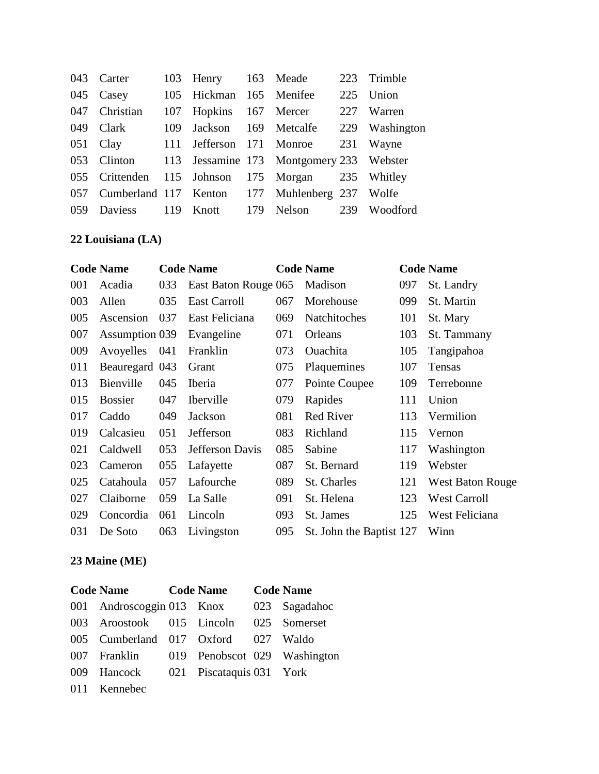|     | 043 Carter |     | 103 Henry 163 Meade     |                                                   | 223 | Trimble        |
|-----|------------|-----|-------------------------|---------------------------------------------------|-----|----------------|
|     | 045 Casey  |     | 105 Hickman 165 Menifee |                                                   | 225 | Union          |
| 047 | Christian  |     | 107 Hopkins 167 Mercer  |                                                   | 227 | Warren         |
| 049 | Clark      | 109 | Jackson                 | 169 Metcalfe                                      |     | 229 Washington |
|     | 051 Clay   |     |                         | 111 Jefferson 171 Monroe                          |     | 231 Wayne      |
| 053 |            |     |                         | Clinton 113 Jessamine 173 Montgomery 233 Webster  |     |                |
|     |            |     |                         | 055 Crittenden 115 Johnson 175 Morgan 235 Whitley |     |                |
| 057 |            |     |                         | Cumberland 117 Kenton 177 Muhlenberg 237 Wolfe    |     |                |
| 059 | Daviess    |     |                         | 119 Knott 179 Nelson 239                          |     | Woodford       |

# **22 Louisiana (LA)**

|     | <b>Code Name</b> |     | <b>Code Name</b>     |     | <b>Code Name</b>         |     | <b>Code Name</b>        |
|-----|------------------|-----|----------------------|-----|--------------------------|-----|-------------------------|
| 001 | Acadia           | 033 | East Baton Rouge 065 |     | Madison                  | 097 | St. Landry              |
| 003 | Allen            | 035 | East Carroll         | 067 | Morehouse                | 099 | St. Martin              |
| 005 | Ascension        | 037 | East Feliciana       | 069 | Natchitoches             | 101 | St. Mary                |
| 007 | Assumption 039   |     | Evangeline           | 071 | Orleans                  | 103 | St. Tammany             |
| 009 | Avoyelles        | 041 | Franklin             | 073 | <b>Ouachita</b>          | 105 | Tangipahoa              |
| 011 | Beauregard 043   |     | Grant                | 075 | Plaquemines              | 107 | Tensas                  |
| 013 | Bienville        | 045 | Iberia               | 077 | Pointe Coupee            | 109 | Terrebonne              |
| 015 | <b>Bossier</b>   | 047 | <b>Iberville</b>     | 079 | Rapides                  | 111 | Union                   |
| 017 | Caddo            | 049 | Jackson              | 081 | <b>Red River</b>         | 113 | Vermilion               |
| 019 | Calcasieu        | 051 | Jefferson            | 083 | Richland                 | 115 | Vernon                  |
| 021 | Caldwell         | 053 | Jefferson Davis      | 085 | Sabine                   | 117 | Washington              |
| 023 | Cameron          | 055 | Lafayette            | 087 | St. Bernard              | 119 | Webster                 |
| 025 | Catahoula        | 057 | Lafourche            | 089 | St. Charles              | 121 | <b>West Baton Rouge</b> |
| 027 | Claiborne        | 059 | La Salle             | 091 | St. Helena               | 123 | <b>West Carroll</b>     |
| 029 | Concordia        | 061 | Lincoln              | 093 | St. James                | 125 | West Feliciana          |
| 031 | De Soto          | 063 | Livingston           | 095 | St. John the Baptist 127 |     | Winn                    |

# **23 Maine (ME)**

| <b>Code Name</b>                          | Code Name Code Name |  |
|-------------------------------------------|---------------------|--|
| 001 Androscoggin 013 Knox 023 Sagadahoc   |                     |  |
| 003 Aroostook 015 Lincoln 025 Somerset    |                     |  |
| 005 Cumberland 017 Oxford 027 Waldo       |                     |  |
| 007 Franklin 019 Penobscot 029 Washington |                     |  |
| 009 Hancock 021 Piscataquis 031 York      |                     |  |
| 011 Kennebec                              |                     |  |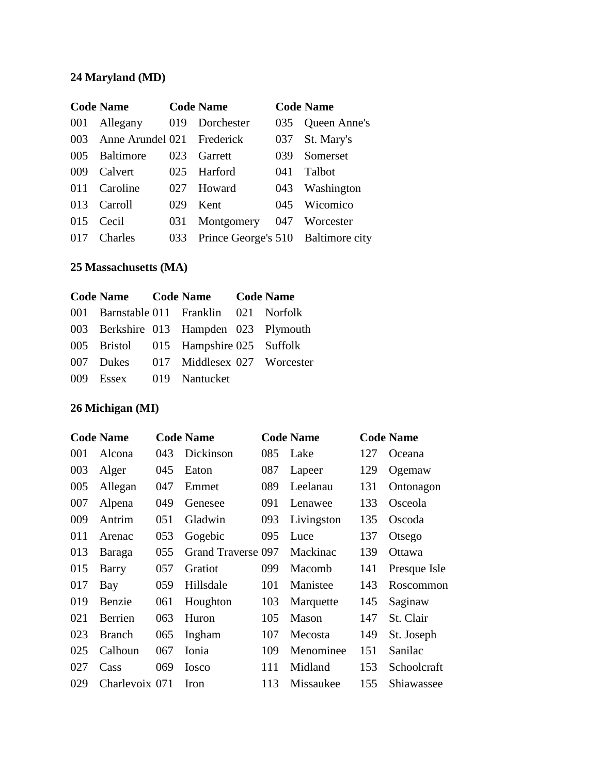# **24 Maryland (MD)**

|     | <b>Code Name</b>           |     | <b>Code Name</b>                   |     | <b>Code Name</b> |
|-----|----------------------------|-----|------------------------------------|-----|------------------|
| 001 | Allegany                   | 019 | Dorchester                         | 035 | Queen Anne's     |
| 003 | Anne Arundel 021 Frederick |     |                                    |     | 037 St. Mary's   |
| 005 | Baltimore                  | 023 | Garrett                            | 039 | Somerset         |
| 009 | Calvert                    | 025 | Harford                            | 041 | <b>Talbot</b>    |
| 011 | Caroline                   | 027 | Howard                             | 043 | Washington       |
| 013 | Carroll                    | 029 | Kent                               | 045 | Wicomico         |
| 015 | Cecil                      | 031 | Montgomery                         | 047 | Worcester        |
| 017 | Charles                    | 033 | Prince George's 510 Baltimore city |     |                  |

## **25 Massachusetts (MA)**

|                         | Code Name Code Name Code Name           |  |
|-------------------------|-----------------------------------------|--|
|                         | 001 Barnstable 011 Franklin 021 Norfolk |  |
|                         | 003 Berkshire 013 Hampden 023 Plymouth  |  |
|                         | 005 Bristol 015 Hampshire 025 Suffolk   |  |
|                         | 007 Dukes 017 Middlesex 027 Worcester   |  |
| 009 Essex 019 Nantucket |                                         |  |

# **26 Michigan (MI)**

|     | <b>Code Name</b> |     | <b>Code Name</b>   |     | <b>Code Name</b> |     | <b>Code Name</b> |
|-----|------------------|-----|--------------------|-----|------------------|-----|------------------|
| 001 | Alcona           | 043 | Dickinson          | 085 | Lake             | 127 | Oceana           |
| 003 | Alger            | 045 | Eaton              | 087 | Lapeer           | 129 | Ogemaw           |
| 005 | Allegan          | 047 | Emmet              | 089 | Leelanau         | 131 | Ontonagon        |
| 007 | Alpena           | 049 | Genesee            | 091 | Lenawee          | 133 | Osceola          |
| 009 | Antrim           | 051 | Gladwin            | 093 | Livingston       | 135 | Oscoda           |
| 011 | Arenac           | 053 | Gogebic            | 095 | Luce             | 137 | Otsego           |
| 013 | Baraga           | 055 | Grand Traverse 097 |     | Mackinac         | 139 | <b>Ottawa</b>    |
| 015 | Barry            | 057 | Gratiot            | 099 | Macomb           | 141 | Presque Isle     |
| 017 | Bay              | 059 | Hillsdale          | 101 | Manistee         | 143 | Roscommon        |
| 019 | Benzie           | 061 | Houghton           | 103 | Marquette        | 145 | Saginaw          |
| 021 | Berrien          | 063 | Huron              | 105 | Mason            | 147 | St. Clair        |
| 023 | <b>Branch</b>    | 065 | Ingham             | 107 | Mecosta          | 149 | St. Joseph       |
| 025 | Calhoun          | 067 | Ionia              | 109 | Menominee        | 151 | Sanilac          |
| 027 | Cass             | 069 | <b>Iosco</b>       | 111 | Midland          | 153 | Schoolcraft      |
| 029 | Charlevoix 071   |     | Iron               | 113 | Missaukee        | 155 | Shiawassee       |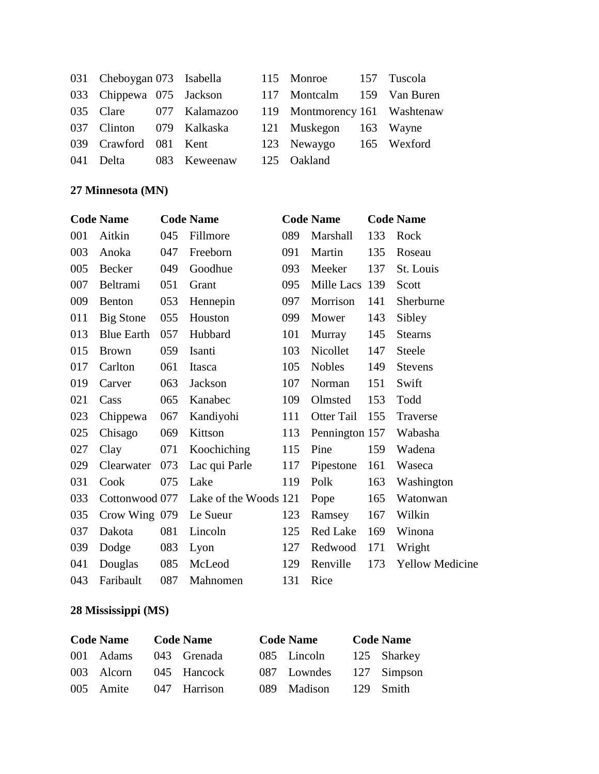|     | 031 Cheboygan 073 Isabella |                                                       | 115 Monroe 157 Tuscola     |  |
|-----|----------------------------|-------------------------------------------------------|----------------------------|--|
|     | 033 Chippewa 075 Jackson   |                                                       | 117 Montcalm 159 Van Buren |  |
|     |                            | 035 Clare 077 Kalamazoo 119 Montmorency 161 Washtenaw |                            |  |
|     |                            | 037 Clinton 079 Kalkaska                              | 121 Muskegon 163 Wayne     |  |
|     |                            | 039 Crawford 081 Kent                                 | 123 Newaygo 165 Wexford    |  |
| 041 |                            | Delta 083 Keweenaw                                    | 125 Oakland                |  |

# **27 Minnesota (MN)**

|     | <b>Code Name</b>  |     | <b>Code Name</b>      |     | <b>Code Name</b> |     | <b>Code Name</b>       |
|-----|-------------------|-----|-----------------------|-----|------------------|-----|------------------------|
| 001 | Aitkin            | 045 | Fillmore              | 089 | Marshall         | 133 | Rock                   |
| 003 | Anoka             | 047 | Freeborn              | 091 | Martin           | 135 | Roseau                 |
| 005 | Becker            | 049 | Goodhue               | 093 | Meeker           | 137 | St. Louis              |
| 007 | Beltrami          | 051 | Grant                 | 095 | Mille Lacs 139   |     | Scott                  |
| 009 | <b>Benton</b>     | 053 | Hennepin              | 097 | Morrison         | 141 | Sherburne              |
| 011 | Big Stone         | 055 | Houston               | 099 | Mower            | 143 | Sibley                 |
| 013 | <b>Blue Earth</b> | 057 | Hubbard               | 101 | Murray           | 145 | <b>Stearns</b>         |
| 015 | <b>Brown</b>      | 059 | Isanti                | 103 | Nicollet         | 147 | Steele                 |
| 017 | Carlton           | 061 | Itasca                | 105 | Nobles           | 149 | <b>Stevens</b>         |
| 019 | Carver            | 063 | Jackson               | 107 | Norman           | 151 | Swift                  |
| 021 | Cass              | 065 | Kanabec               | 109 | Olmsted          | 153 | Todd                   |
| 023 | Chippewa          | 067 | Kandiyohi             | 111 | Otter Tail       | 155 | Traverse               |
| 025 | Chisago           | 069 | Kittson               | 113 | Pennington 157   |     | Wabasha                |
| 027 | Clay              | 071 | Koochiching           | 115 | Pine             | 159 | Wadena                 |
| 029 | Clearwater        | 073 | Lac qui Parle         | 117 | Pipestone        | 161 | Waseca                 |
| 031 | Cook              | 075 | Lake                  | 119 | Polk             | 163 | Washington             |
| 033 | Cottonwood 077    |     | Lake of the Woods 121 |     | Pope             | 165 | Watonwan               |
| 035 | Crow Wing 079     |     | Le Sueur              | 123 | Ramsey           | 167 | Wilkin                 |
| 037 | Dakota            | 081 | Lincoln               | 125 | Red Lake         | 169 | Winona                 |
| 039 | Dodge             | 083 | Lyon                  | 127 | Redwood          | 171 | Wright                 |
| 041 | Douglas           | 085 | McLeod                | 129 | Renville         | 173 | <b>Yellow Medicine</b> |
| 043 | Faribault         | 087 | Mahnomen              | 131 | Rice             |     |                        |

# **28 Mississippi (MS)**

| <b>Code Name</b> |            | <b>Code Name</b> |              | <b>Code Name</b>        | <b>Code Name</b> |             |
|------------------|------------|------------------|--------------|-------------------------|------------------|-------------|
|                  | 001 Adams  |                  | 043 Grenada  | 085 Lincoln             |                  | 125 Sharkey |
|                  | 003 Alcorn |                  | 045 Hancock  | 087 Lowndes 127 Simpson |                  |             |
|                  | 005 Amite  |                  | 047 Harrison | 089 Madison             |                  | 129 Smith   |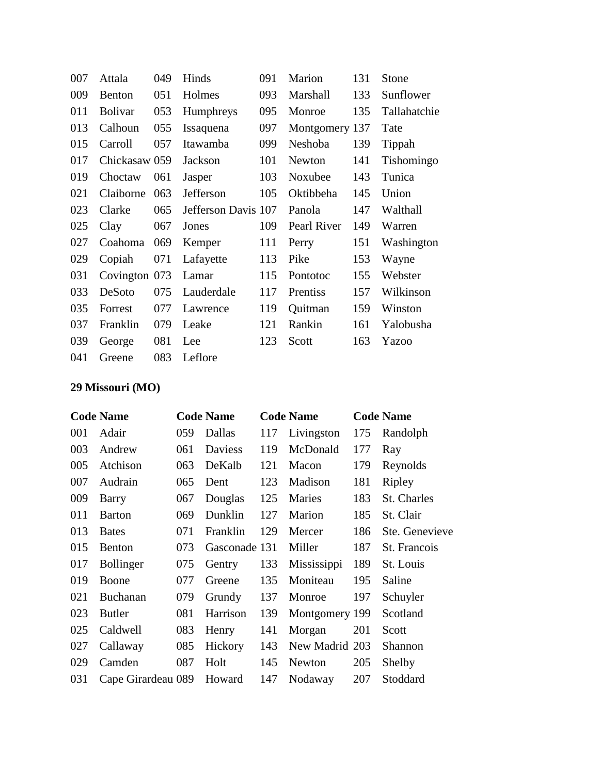| 007 | Attala         | 049                  | Hinds               | 091 | Marion         | 131 | Stone        |
|-----|----------------|----------------------|---------------------|-----|----------------|-----|--------------|
| 009 | Benton         | 051                  | Holmes              | 093 | Marshall       | 133 | Sunflower    |
| 011 | <b>Bolivar</b> | 053                  | Humphreys           | 095 | Monroe         | 135 | Tallahatchie |
| 013 | Calhoun        | 055                  | Issaquena           | 097 | Montgomery 137 |     | Tate         |
| 015 | Carroll        | 057                  | Itawamba            | 099 | Neshoba        | 139 | Tippah       |
| 017 | Chickasaw 059  |                      | Jackson             | 101 | Newton         | 141 | Tishomingo   |
| 019 | Choctaw        | 061                  | Jasper              | 103 | Noxubee        | 143 | Tunica       |
| 021 | Claiborne      | 063                  | Jefferson           | 105 | Oktibbeha      | 145 | Union        |
| 023 | Clarke         | 065                  | Jefferson Davis 107 |     | Panola         | 147 | Walthall     |
| 025 | Clay           | 067                  | Jones               | 109 | Pearl River    | 149 | Warren       |
| 027 | Coahoma        | 069                  | Kemper              | 111 | Perry          | 151 | Washington   |
| 029 | Copiah         | 071                  | Lafayette           | 113 | Pike           | 153 | Wayne        |
| 031 | Covington      | 073                  | Lamar               | 115 | Pontotoc       | 155 | Webster      |
| 033 | DeSoto         | 075                  | Lauderdale          | 117 | Prentiss       | 157 | Wilkinson    |
| 035 | Forrest        | 077                  | Lawrence            | 119 | Quitman        | 159 | Winston      |
| 037 | Franklin       | 079                  | Leake               | 121 | Rankin         | 161 | Yalobusha    |
| 039 | George         | 081                  | Lee                 | 123 | Scott          | 163 | Yazoo        |
|     |                | $\sim$ $\sim$ $\sim$ |                     |     |                |     |              |

041 Greene 083 Leflore

# **29 Missouri (MO)**

|     | <b>Code Name</b>   |     | <b>Code Name</b> |     | <b>Code Name</b> |     | <b>Code Name</b> |
|-----|--------------------|-----|------------------|-----|------------------|-----|------------------|
| 001 | Adair              | 059 | Dallas           | 117 | Livingston       | 175 | Randolph         |
| 003 | Andrew             | 061 | <b>Daviess</b>   | 119 | McDonald         | 177 | Ray              |
| 005 | Atchison           | 063 | DeKalb           | 121 | Macon            | 179 | Reynolds         |
| 007 | Audrain            | 065 | Dent             | 123 | Madison          | 181 | Ripley           |
| 009 | Barry              | 067 | Douglas          | 125 | Maries           | 183 | St. Charles      |
| 011 | Barton             | 069 | Dunklin          | 127 | Marion           | 185 | St. Clair        |
| 013 | <b>Bates</b>       | 071 | Franklin         | 129 | Mercer           | 186 | Ste. Genevieve   |
| 015 | <b>Benton</b>      | 073 | Gasconade 131    |     | Miller           | 187 | St. Francois     |
| 017 | <b>Bollinger</b>   | 075 | Gentry           | 133 | Mississippi      | 189 | St. Louis        |
| 019 | Boone              | 077 | Greene           | 135 | Moniteau         | 195 | Saline           |
| 021 | Buchanan           | 079 | Grundy           | 137 | Monroe           | 197 | Schuyler         |
| 023 | <b>Butler</b>      | 081 | Harrison         | 139 | Montgomery 199   |     | Scotland         |
| 025 | Caldwell           | 083 | Henry            | 141 | Morgan           | 201 | Scott            |
| 027 | Callaway           | 085 | Hickory          | 143 | New Madrid 203   |     | Shannon          |
| 029 | Camden             | 087 | Holt             | 145 | Newton           | 205 | Shelby           |
| 031 | Cape Girardeau 089 |     | Howard           | 147 | Nodaway          | 207 | Stoddard         |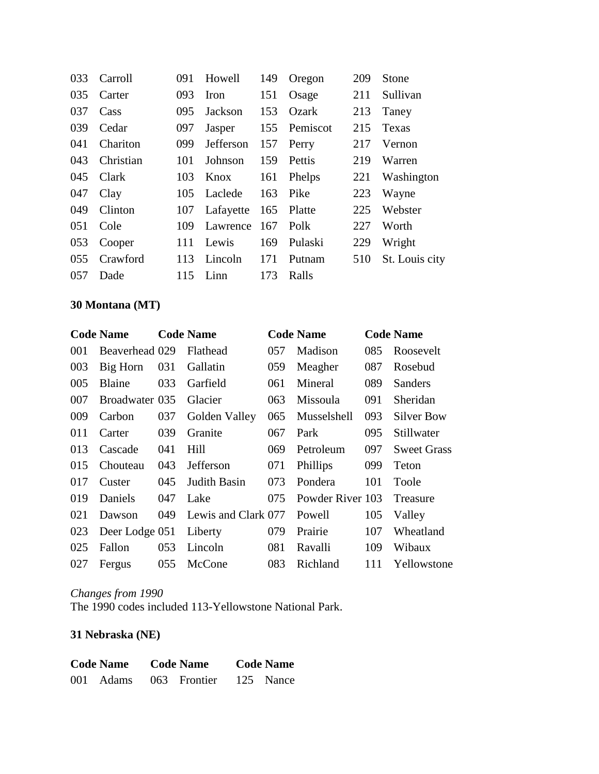| 033 | Carroll   | 091 | Howell    | 149 | Oregon       | 209 | <b>Stone</b>   |
|-----|-----------|-----|-----------|-----|--------------|-----|----------------|
| 035 | Carter    | 093 | Iron      | 151 | Osage        | 211 | Sullivan       |
| 037 | Cass      | 095 | Jackson   | 153 | Ozark        | 213 | Taney          |
| 039 | Cedar     | 097 | Jasper    |     | 155 Pemiscot | 215 | Texas          |
| 041 | Chariton  | 099 | Jefferson | 157 | Perry        | 217 | Vernon         |
| 043 | Christian | 101 | Johnson   | 159 | Pettis       | 219 | Warren         |
| 045 | Clark     | 103 | Knox      | 161 | Phelps       | 221 | Washington     |
| 047 | Clay      | 105 | Laclede   | 163 | Pike         | 223 | Wayne          |
| 049 | Clinton   | 107 | Lafayette | 165 | Platte       | 225 | Webster        |
| 051 | Cole      | 109 | Lawrence  | 167 | Polk         | 227 | Worth          |
| 053 | Cooper    | 111 | Lewis     | 169 | Pulaski      | 229 | Wright         |
| 055 | Crawford  | 113 | Lincoln   | 171 | Putnam       | 510 | St. Louis city |
| 057 | Dade      | 115 | Linn      | 173 | Ralls        |     |                |

## **30 Montana (MT)**

|     | <b>Code Name</b> |     | <b>Code Name</b>    |     | <b>Code Name</b> |     | <b>Code Name</b>   |
|-----|------------------|-----|---------------------|-----|------------------|-----|--------------------|
| 001 | Beaverhead 029   |     | Flathead            | 057 | Madison          | 085 | Roosevelt          |
| 003 | Big Horn         | 031 | Gallatin            | 059 | Meagher          | 087 | Rosebud            |
| 005 | Blaine           | 033 | Garfield            | 061 | Mineral          | 089 | Sanders            |
| 007 | Broadwater 035   |     | Glacier             | 063 | Missoula         | 091 | Sheridan           |
| 009 | Carbon           | 037 | Golden Valley       | 065 | Musselshell      | 093 | <b>Silver Bow</b>  |
| 011 | Carter           | 039 | Granite             | 067 | Park             | 095 | Stillwater         |
| 013 | Cascade          | 041 | Hill                | 069 | Petroleum        | 097 | <b>Sweet Grass</b> |
| 015 | Chouteau         | 043 | <b>Jefferson</b>    | 071 | Phillips         | 099 | Teton              |
| 017 | Custer           | 045 | Judith Basin        | 073 | Pondera          | 101 | Toole              |
| 019 | Daniels          | 047 | Lake                | 075 | Powder River 103 |     | Treasure           |
| 021 | Dawson           | 049 | Lewis and Clark 077 |     | Powell           | 105 | Valley             |
| 023 | Deer Lodge 051   |     | Liberty             | 079 | Prairie          | 107 | Wheatland          |
| 025 | Fallon           | 053 | Lincoln             | 081 | Ravalli          | 109 | Wibaux             |
| 027 | Fergus           | 055 | McCone              | 083 | Richland         | 111 | Yellowstone        |

## *Changes from 1990* The 1990 codes included 113-Yellowstone National Park.

## **31 Nebraska (NE)**

| <b>Code Name</b> |           | <b>Code Name</b> | <b>Code Name</b> |           |  |
|------------------|-----------|------------------|------------------|-----------|--|
|                  | 001 Adams | 063 Frontier     |                  | 125 Nance |  |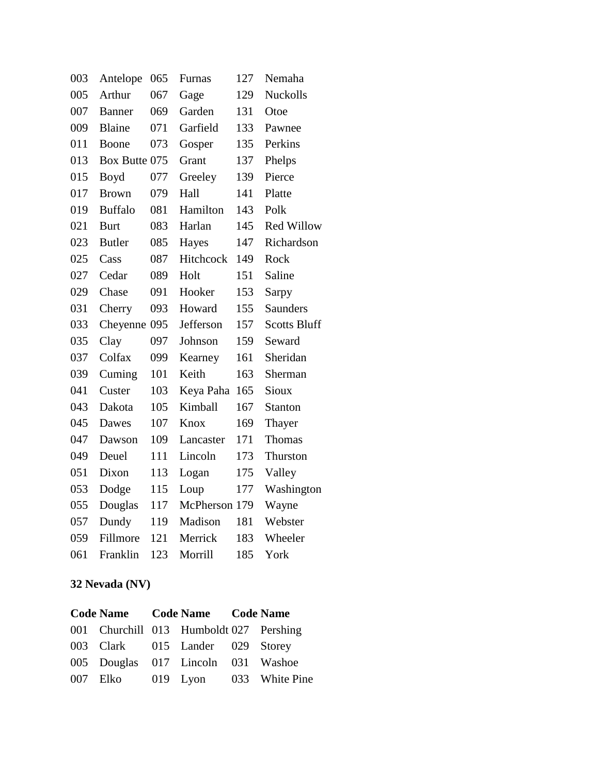| 003 | Antelope       | 065 | Furnas        | 127 | Nemaha              |
|-----|----------------|-----|---------------|-----|---------------------|
| 005 | Arthur         | 067 | Gage          | 129 | <b>Nuckolls</b>     |
| 007 | <b>Banner</b>  | 069 | Garden        | 131 | Otoe                |
| 009 | Blaine         | 071 | Garfield      | 133 | Pawnee              |
| 011 | Boone          | 073 | Gosper        | 135 | Perkins             |
| 013 | Box Butte 075  |     | Grant         | 137 | Phelps              |
| 015 | Boyd           | 077 | Greeley       | 139 | Pierce              |
| 017 | <b>Brown</b>   | 079 | Hall          | 141 | Platte              |
| 019 | <b>Buffalo</b> | 081 | Hamilton      | 143 | Polk                |
| 021 | <b>Burt</b>    | 083 | Harlan        | 145 | <b>Red Willow</b>   |
| 023 | <b>Butler</b>  | 085 | Hayes         | 147 | Richardson          |
| 025 | Cass           | 087 | Hitchcock     | 149 | Rock                |
| 027 | Cedar          | 089 | Holt          | 151 | Saline              |
| 029 | Chase          | 091 | Hooker        | 153 | Sarpy               |
| 031 | Cherry         | 093 | Howard        | 155 | <b>Saunders</b>     |
| 033 | Cheyenne       | 095 | Jefferson     | 157 | <b>Scotts Bluff</b> |
| 035 | Clay           | 097 | Johnson       | 159 | Seward              |
| 037 | Colfax         | 099 | Kearney       | 161 | Sheridan            |
| 039 | Cuming         | 101 | Keith         | 163 | Sherman             |
| 041 | Custer         | 103 | Keya Paha     | 165 | Sioux               |
| 043 | Dakota         | 105 | Kimball       | 167 | <b>Stanton</b>      |
| 045 | Dawes          | 107 | Knox          | 169 | Thayer              |
| 047 | Dawson         | 109 | Lancaster     | 171 | <b>Thomas</b>       |
| 049 | Deuel          | 111 | Lincoln       | 173 | <b>Thurston</b>     |
| 051 | Dixon          | 113 | Logan         | 175 | Valley              |
| 053 | Dodge          | 115 | Loup          | 177 | Washington          |
| 055 | Douglas        | 117 | McPherson 179 |     | Wayne               |
| 057 | Dundy          | 119 | Madison       | 181 | Webster             |
| 059 | Fillmore       | 121 | Merrick       | 183 | Wheeler             |
| 061 | Franklin       | 123 | Morrill       | 185 | York                |

# **32 Nevada (NV)**

| Code Name Code Name Code Name           |  |                                  |
|-----------------------------------------|--|----------------------------------|
| 001 Churchill 013 Humboldt 027 Pershing |  |                                  |
| 003 Clark 015 Lander 029 Storey         |  |                                  |
| 005 Douglas 017 Lincoln 031 Washoe      |  |                                  |
|                                         |  | 007 Elko 019 Lyon 033 White Pine |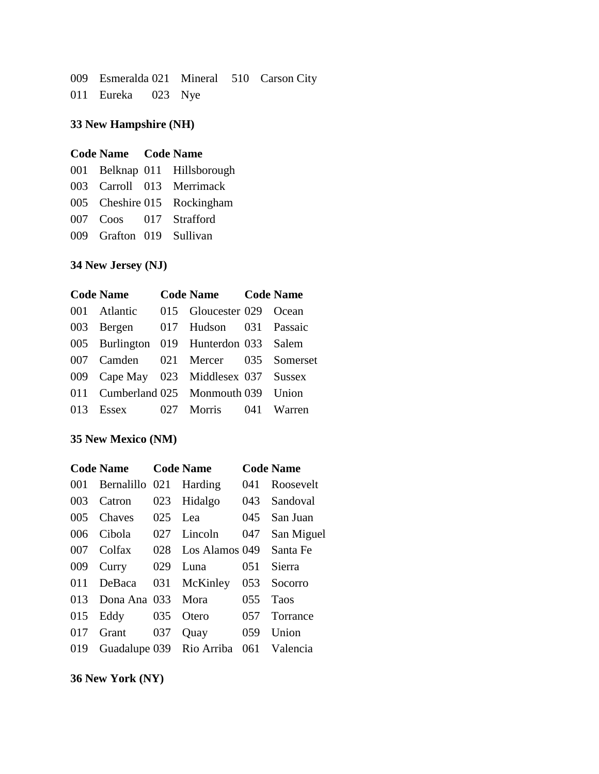009 Esmeralda 021 Mineral 510 Carson City 011 Eureka 023 Nye

## **33 New Hampshire (NH)**

#### **Code Name Code Name**

|                          | 001 Belknap 011 Hillsborough |
|--------------------------|------------------------------|
|                          | 003 Carroll 013 Merrimack    |
|                          | 005 Cheshire 015 Rockingham  |
|                          | 007 Coos 017 Strafford       |
| 009 Grafton 019 Sullivan |                              |

## **34 New Jersey (NJ)**

| <b>Code Name</b>                       | Code Name Code Name      |  |
|----------------------------------------|--------------------------|--|
| 001 Atlantic                           | 015 Gloucester 029 Ocean |  |
| 003 Bergen                             | 017 Hudson 031 Passaic   |  |
| 005 Burlington 019 Hunterdon 033 Salem |                          |  |
| 007 Camden 021 Mercer 035 Somerset     |                          |  |
| 009 Cape May 023 Middlesex 037 Sussex  |                          |  |
| 011 Cumberland 025 Monmouth 039 Union  |                          |  |
| 013 Essex 027 Morris 041 Warren        |                          |  |

## **35 New Mexico (NM)**

|     | <b>Code Name</b> |     | <b>Code Name</b>             |     | <b>Code Name</b> |
|-----|------------------|-----|------------------------------|-----|------------------|
| 001 | Bernalillo 021   |     | Harding                      | 041 | Roosevelt        |
| 003 | Catron           | 023 | Hidalgo                      | 043 | Sandoval         |
| 005 | Chaves           | 025 | Lea                          | 045 | San Juan         |
| 006 | Cibola           | 027 | Lincoln                      | 047 | San Miguel       |
| 007 | Colfax           | 028 | Los Alamos 049               |     | Santa Fe         |
| 009 | Curry            | 029 | Luna                         | 051 | Sierra           |
| 011 | DeBaca           | 031 | McKinley                     | 053 | Socorro          |
| 013 | Dona Ana 033     |     | Mora                         | 055 | <b>Taos</b>      |
| 015 | Eddy             | 035 | Otero                        | 057 | Torrance         |
| 017 | Grant            | 037 | Quay                         | 059 | Union            |
| 019 |                  |     | Guadalupe 039 Rio Arriba 061 |     | Valencia         |

**36 New York (NY)**